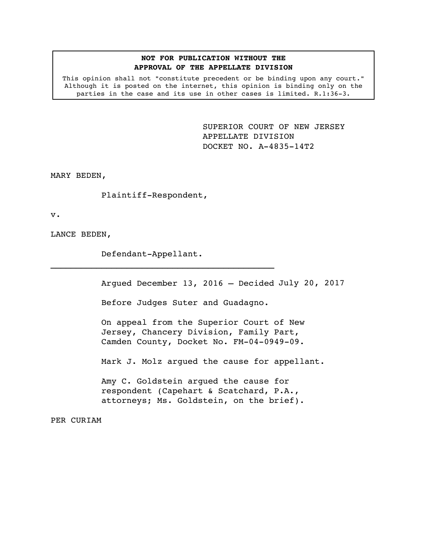## **NOT FOR PUBLICATION WITHOUT THE APPROVAL OF THE APPELLATE DIVISION**

This opinion shall not "constitute precedent or be binding upon any court." Although it is posted on the internet, this opinion is binding only on the parties in the case and its use in other cases is limited. R.1:36-3.

> <span id="page-0-0"></span>SUPERIOR COURT OF NEW JERSEY APPELLATE DIVISION DOCKET NO. A-4835-14T2

MARY BEDEN,

Plaintiff-Respondent,

v.

LANCE BEDEN,

Defendant-Appellant.

Argued December 13, 2016 – Decided July 20, 2017

Before Judges Suter and Guadagno.

On appeal from the Superior Court of New Jersey, Chancery Division, Family Part, Camden County, Docket No. FM-04-0949-09.

Mark J. Molz argued the cause for appellant.

Amy C. Goldstein argued the cause for respondent (Capehart & Scatchard, P.A., attorneys; Ms. Goldstein, on the brief).

PER CURIAM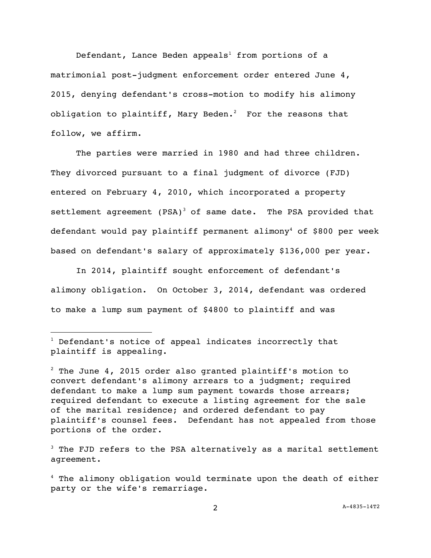Defendant, Lance Beden appeals<sup>1</sup> from portions of a matrimonial post-judgment enforcement order entered June 4, 2015, denying defendant's cross-motion to modify his alimony obligation to plaintiff, Mary Beden. <sup>2</sup> For the reasons that follow, we affirm.

The parties were married in 1980 and had three children. They divorced pursuant to a final judgment of divorce (FJD) entered on February 4, 2010, which incorporated a property settlement agreement (PSA)<sup>3</sup> of same date. The PSA provided that defendant would pay plaintiff permanent alimony<sup>4</sup> of \$800 per week based on defendant's salary of approximately \$136,000 per year.

In 2014, plaintiff sought enforcement of defendant's alimony obligation. On October 3, 2014, defendant was ordered to make a lump sum payment of \$4800 to plaintiff and was

i<br>L

 $1$  Defendant's notice of appeal indicates incorrectly that plaintiff is appealing.

 $2$  The June 4, 2015 order also granted plaintiff's motion to convert defendant's alimony arrears to a judgment; required defendant to make a lump sum payment towards those arrears; required defendant to execute a listing agreement for the sale of the marital residence; and ordered defendant to pay plaintiff's counsel fees. Defendant has not appealed from those portions of the order.

 $3$  The FJD refers to the PSA alternatively as a marital settlement agreement.

<sup>4</sup> The alimony obligation would terminate upon the death of either party or the wife's remarriage.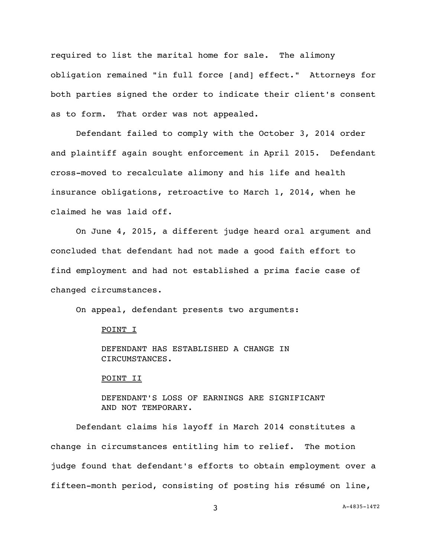required to list the marital home for sale. The alimony obligation remained "in full force [and] effect." Attorneys for both parties signed the order to indicate their client's consent as to form. That order was not appealed.

Defendant failed to comply with the October 3, 2014 order and plaintiff again sought enforcement in April 2015. Defendant cross-moved to recalculate alimony and his life and health insurance obligations, retroactive to March 1, 2014, when he claimed he was laid off.

On June 4, 2015, a different judge heard oral argument and concluded that defendant had not made a good faith effort to find employment and had not established a prima facie case of changed circumstances.

On appeal, defendant presents two arguments:

## POINT I

DEFENDANT HAS ESTABLISHED A CHANGE IN CIRCUMSTANCES.

## POINT II

DEFENDANT'S LOSS OF EARNINGS ARE SIGNIFICANT AND NOT TEMPORARY.

Defendant claims his layoff in March 2014 constitutes a change in circumstances entitling him to relief. The motion judge found that defendant's efforts to obtain employment over a fifteen-month period, consisting of posting his résumé on line,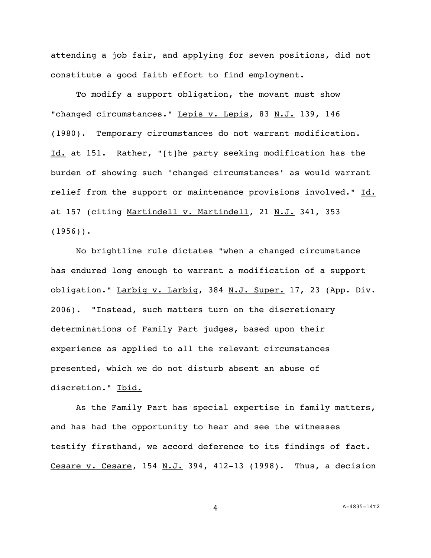attending a job fair, and applying for seven positions, did not constitute a good faith effort to find employment.

To modify a support obligation, the movant must show "changed circumstances." Lepis v. Lepis, 83 N.J. 139, 146 (1980). Temporary circumstances do not warrant modification. Id. at 151. Rather, "[t]he party seeking modification has the burden of showing such 'changed circumstances' as would warrant relief from the support or maintenance provisions involved." Id. at 157 (citing Martindell v. Martindell, 21 N.J. 341, 353  $(1956)$ .

No brightline rule dictates "when a changed circumstance has endured long enough to warrant a modification of a support obligation." Larbig v. Larbig, 384 N.J. Super. 17, 23 (App. Div. 2006). "Instead, such matters turn on the discretionary determinations of Family Part judges, based upon their experience as applied to all the relevant circumstances presented, which we do not disturb absent an abuse of discretion." Ibid.

As the Family Part has special expertise in family matters, and has had the opportunity to hear and see the witnesses testify firsthand, we accord deference to its findings of fact. Cesare v. Cesare, 154 N.J. 394, 412-13 (1998). Thus, a decision